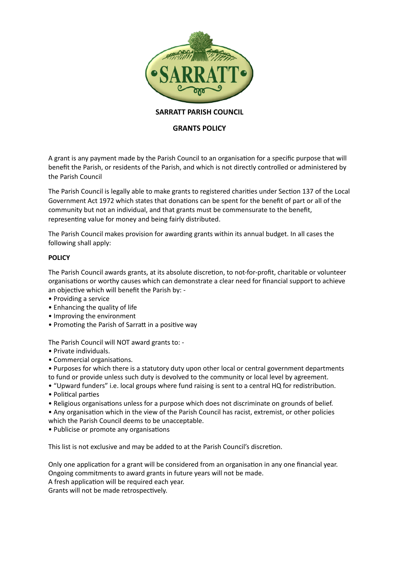

# **SARRATT PARISH COUNCIL**

# **GRANTS POLICY**

A grant is any payment made by the Parish Council to an organisation for a specific purpose that will benefit the Parish, or residents of the Parish, and which is not directly controlled or administered by the Parish Council

The Parish Council is legally able to make grants to registered charities under Section 137 of the Local Government Act 1972 which states that donations can be spent for the benefit of part or all of the community but not an individual, and that grants must be commensurate to the benefit, representing value for money and being fairly distributed.

The Parish Council makes provision for awarding grants within its annual budget. In all cases the following shall apply:

#### **POLICY**

The Parish Council awards grants, at its absolute discretion, to not-for-profit, charitable or volunteer organisations or worthy causes which can demonstrate a clear need for financial support to achieve an objective which will benefit the Parish by: -

- Providing a service
- Enhancing the quality of life
- Improving the environment
- Promoting the Parish of Sarratt in a positive way

The Parish Council will NOT award grants to: -

- Private individuals.
- Commercial organisations.

• Purposes for which there is a statutory duty upon other local or central government departments to fund or provide unless such duty is devolved to the community or local level by agreement.

- "Upward funders" i.e. local groups where fund raising is sent to a central HQ for redistribution.
- Political parties
- Religious organisations unless for a purpose which does not discriminate on grounds of belief.
- Any organisation which in the view of the Parish Council has racist, extremist, or other policies
- which the Parish Council deems to be unacceptable.
- Publicise or promote any organisations

This list is not exclusive and may be added to at the Parish Council's discretion.

Only one application for a grant will be considered from an organisation in any one financial year. Ongoing commitments to award grants in future years will not be made.

A fresh application will be required each year.

Grants will not be made retrospectively.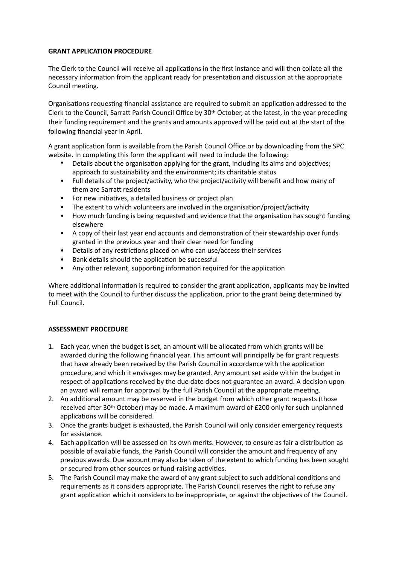### **GRANT APPLICATION PROCEDURE**

The Clerk to the Council will receive all applications in the first instance and will then collate all the necessary information from the applicant ready for presentation and discussion at the appropriate Council meeting.

Organisations requesting financial assistance are required to submit an application addressed to the Clerk to the Council, Sarratt Parish Council Office by 30th October, at the latest, in the year preceding their funding requirement and the grants and amounts approved will be paid out at the start of the following financial year in April.

A grant application form is available from the Parish Council Office or by downloading from the SPC website. In completing this form the applicant will need to include the following:

- Details about the organisation applying for the grant, including its aims and objectives; approach to sustainability and the environment; its charitable status
- Full details of the project/activity, who the project/activity will benefit and how many of them are Sarratt residents
- For new initiatives, a detailed business or project plan
- The extent to which volunteers are involved in the organisation/project/activity
- How much funding is being requested and evidence that the organisation has sought funding elsewhere
- A copy of their last year end accounts and demonstration of their stewardship over funds granted in the previous year and their clear need for funding
- Details of any restrictions placed on who can use/access their services
- Bank details should the application be successful
- Any other relevant, supporting information required for the application

Where additional information is required to consider the grant application, applicants may be invited to meet with the Council to further discuss the application, prior to the grant being determined by Full Council.

# **ASSESSMENT PROCEDURE**

- 1. Each year, when the budget is set, an amount will be allocated from which grants will be awarded during the following financial year. This amount will principally be for grant requests that have already been received by the Parish Council in accordance with the application procedure, and which it envisages may be granted. Any amount set aside within the budget in respect of applications received by the due date does not guarantee an award. A decision upon an award will remain for approval by the full Parish Council at the appropriate meeting.
- 2. An additional amount may be reserved in the budget from which other grant requests (those received after 30th October) may be made. A maximum award of £200 only for such unplanned applications will be considered.
- 3. Once the grants budget is exhausted, the Parish Council will only consider emergency requests for assistance.
- 4. Each application will be assessed on its own merits. However, to ensure as fair a distribution as possible of available funds, the Parish Council will consider the amount and frequency of any previous awards. Due account may also be taken of the extent to which funding has been sought or secured from other sources or fund-raising activities.
- 5. The Parish Council may make the award of any grant subject to such additional conditions and requirements as it considers appropriate. The Parish Council reserves the right to refuse any grant application which it considers to be inappropriate, or against the objectives of the Council.